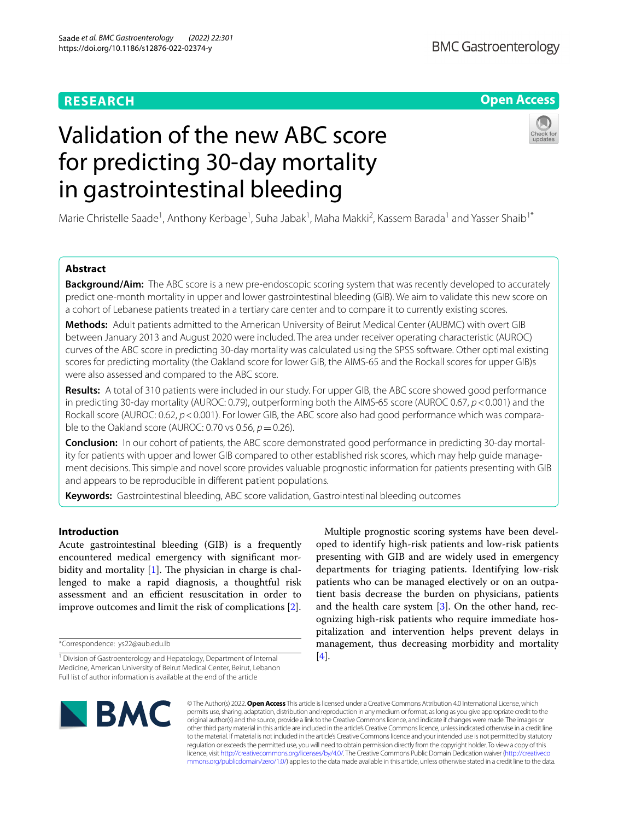# **RESEARCH**

# **Open Access**

# Validation of the new ABC score for predicting 30-day mortality in gastrointestinal bleeding

Marie Christelle Saade<sup>1</sup>, Anthony Kerbage<sup>1</sup>, Suha Jabak<sup>1</sup>, Maha Makki<sup>2</sup>, Kassem Barada<sup>1</sup> and Yasser Shaib<sup>1\*</sup>

# **Abstract**

**Background/Aim:** The ABC score is a new pre-endoscopic scoring system that was recently developed to accurately predict one-month mortality in upper and lower gastrointestinal bleeding (GIB). We aim to validate this new score on a cohort of Lebanese patients treated in a tertiary care center and to compare it to currently existing scores.

**Methods:** Adult patients admitted to the American University of Beirut Medical Center (AUBMC) with overt GIB between January 2013 and August 2020 were included. The area under receiver operating characteristic (AUROC) curves of the ABC score in predicting 30-day mortality was calculated using the SPSS software. Other optimal existing scores for predicting mortality (the Oakland score for lower GIB, the AIMS-65 and the Rockall scores for upper GIB)s were also assessed and compared to the ABC score.

**Results:** A total of 310 patients were included in our study. For upper GIB, the ABC score showed good performance in predicting 30-day mortality (AUROC: 0.79), outperforming both the AIMS-65 score (AUROC 0.67, *p*<0.001) and the Rockall score (AUROC: 0.62, *p*<0.001). For lower GIB, the ABC score also had good performance which was comparable to the Oakland score (AUROC: 0.70 vs 0.56,  $p = 0.26$ ).

**Conclusion:** In our cohort of patients, the ABC score demonstrated good performance in predicting 30-day mortality for patients with upper and lower GIB compared to other established risk scores, which may help guide management decisions. This simple and novel score provides valuable prognostic information for patients presenting with GIB and appears to be reproducible in diferent patient populations.

**Keywords:** Gastrointestinal bleeding, ABC score validation, Gastrointestinal bleeding outcomes

# **Introduction**

Acute gastrointestinal bleeding (GIB) is a frequently encountered medical emergency with signifcant morbidity and mortality  $[1]$  $[1]$ . The physician in charge is challenged to make a rapid diagnosis, a thoughtful risk assessment and an efficient resuscitation in order to improve outcomes and limit the risk of complications [[2\]](#page-4-1).

\*Correspondence: ys22@aub.edu.lb

Multiple prognostic scoring systems have been developed to identify high-risk patients and low-risk patients presenting with GIB and are widely used in emergency departments for triaging patients. Identifying low-risk patients who can be managed electively or on an outpatient basis decrease the burden on physicians, patients and the health care system [\[3\]](#page-4-2). On the other hand, recognizing high-risk patients who require immediate hospitalization and intervention helps prevent delays in management, thus decreasing morbidity and mortality [[4\]](#page-4-3).



© The Author(s) 2022. **Open Access** This article is licensed under a Creative Commons Attribution 4.0 International License, which permits use, sharing, adaptation, distribution and reproduction in any medium or format, as long as you give appropriate credit to the original author(s) and the source, provide a link to the Creative Commons licence, and indicate if changes were made. The images or other third party material in this article are included in the article's Creative Commons licence, unless indicated otherwise in a credit line to the material. If material is not included in the article's Creative Commons licence and your intended use is not permitted by statutory regulation or exceeds the permitted use, you will need to obtain permission directly from the copyright holder. To view a copy of this licence, visit [http://creativecommons.org/licenses/by/4.0/.](http://creativecommons.org/licenses/by/4.0/) The Creative Commons Public Domain Dedication waiver ([http://creativeco](http://creativecommons.org/publicdomain/zero/1.0/) [mmons.org/publicdomain/zero/1.0/](http://creativecommons.org/publicdomain/zero/1.0/)) applies to the data made available in this article, unless otherwise stated in a credit line to the data.

<sup>&</sup>lt;sup>1</sup> Division of Gastroenterology and Hepatology, Department of Internal Medicine, American University of Beirut Medical Center, Beirut, Lebanon Full list of author information is available at the end of the article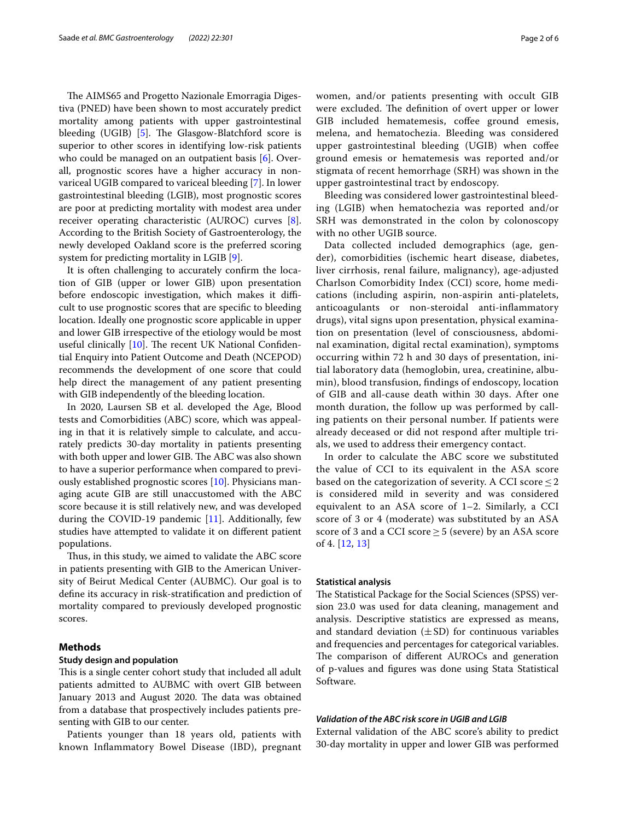The AIMS65 and Progetto Nazionale Emorragia Digestiva (PNED) have been shown to most accurately predict mortality among patients with upper gastrointestinal bleeding (UGIB)  $[5]$  $[5]$ . The Glasgow-Blatchford score is superior to other scores in identifying low-risk patients who could be managed on an outpatient basis [\[6](#page-5-1)]. Overall, prognostic scores have a higher accuracy in nonvariceal UGIB compared to variceal bleeding [\[7](#page-5-2)]. In lower gastrointestinal bleeding (LGIB), most prognostic scores are poor at predicting mortality with modest area under receiver operating characteristic (AUROC) curves [\[8](#page-5-3)]. According to the British Society of Gastroenterology, the newly developed Oakland score is the preferred scoring system for predicting mortality in LGIB [[9\]](#page-5-4).

It is often challenging to accurately confrm the location of GIB (upper or lower GIB) upon presentation before endoscopic investigation, which makes it difficult to use prognostic scores that are specifc to bleeding location. Ideally one prognostic score applicable in upper and lower GIB irrespective of the etiology would be most useful clinically  $[10]$  $[10]$ . The recent UK National Confidential Enquiry into Patient Outcome and Death (NCEPOD) recommends the development of one score that could help direct the management of any patient presenting with GIB independently of the bleeding location.

In 2020, Laursen SB et al. developed the Age, Blood tests and Comorbidities (ABC) score, which was appealing in that it is relatively simple to calculate, and accurately predicts 30-day mortality in patients presenting with both upper and lower GIB. The ABC was also shown to have a superior performance when compared to previously established prognostic scores [[10\]](#page-5-5). Physicians managing acute GIB are still unaccustomed with the ABC score because it is still relatively new, and was developed during the COVID-19 pandemic [[11\]](#page-5-6). Additionally, few studies have attempted to validate it on diferent patient populations.

Thus, in this study, we aimed to validate the ABC score in patients presenting with GIB to the American University of Beirut Medical Center (AUBMC). Our goal is to defne its accuracy in risk-stratifcation and prediction of mortality compared to previously developed prognostic scores.

#### **Methods**

#### **Study design and population**

This is a single center cohort study that included all adult patients admitted to AUBMC with overt GIB between January 2013 and August 2020. The data was obtained from a database that prospectively includes patients presenting with GIB to our center.

Patients younger than 18 years old, patients with known Infammatory Bowel Disease (IBD), pregnant women, and/or patients presenting with occult GIB were excluded. The definition of overt upper or lower GIB included hematemesis, coffee ground emesis, melena, and hematochezia. Bleeding was considered upper gastrointestinal bleeding (UGIB) when coffee ground emesis or hematemesis was reported and/or stigmata of recent hemorrhage (SRH) was shown in the upper gastrointestinal tract by endoscopy.

Bleeding was considered lower gastrointestinal bleeding (LGIB) when hematochezia was reported and/or SRH was demonstrated in the colon by colonoscopy with no other UGIB source.

Data collected included demographics (age, gender), comorbidities (ischemic heart disease, diabetes, liver cirrhosis, renal failure, malignancy), age-adjusted Charlson Comorbidity Index (CCI) score, home medications (including aspirin, non-aspirin anti-platelets, anticoagulants or non-steroidal anti-infammatory drugs), vital signs upon presentation, physical examination on presentation (level of consciousness, abdominal examination, digital rectal examination), symptoms occurring within 72 h and 30 days of presentation, initial laboratory data (hemoglobin, urea, creatinine, albumin), blood transfusion, fndings of endoscopy, location of GIB and all-cause death within 30 days. After one month duration, the follow up was performed by calling patients on their personal number. If patients were already deceased or did not respond after multiple trials, we used to address their emergency contact.

In order to calculate the ABC score we substituted the value of CCI to its equivalent in the ASA score based on the categorization of severity. A CCI score  $\leq$  2 is considered mild in severity and was considered equivalent to an ASA score of 1–2. Similarly, a CCI score of 3 or 4 (moderate) was substituted by an ASA score of 3 and a CCI score  $\geq$  5 (severe) by an ASA score of 4. [[12,](#page-5-7) [13\]](#page-5-8)

### **Statistical analysis**

The Statistical Package for the Social Sciences (SPSS) version 23.0 was used for data cleaning, management and analysis. Descriptive statistics are expressed as means, and standard deviation  $(\pm SD)$  for continuous variables and frequencies and percentages for categorical variables. The comparison of different AUROCs and generation of p-values and fgures was done using Stata Statistical Software.

#### *Validation of the ABC risk score in UGIB and LGIB*

External validation of the ABC score's ability to predict 30-day mortality in upper and lower GIB was performed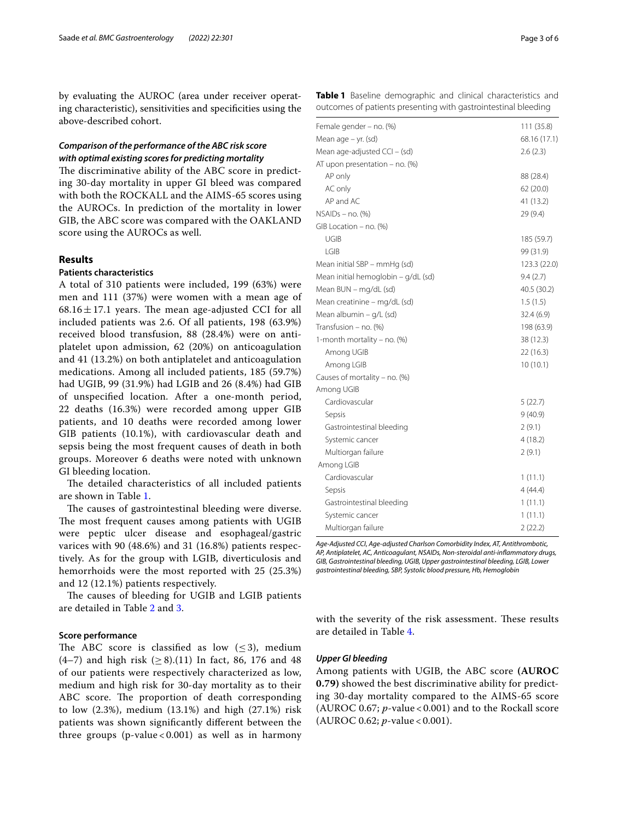by evaluating the AUROC (area under receiver operating characteristic), sensitivities and specifcities using the above-described cohort.

## *Comparison of the performance of the ABC risk score with optimal existing scores for predicting mortality*

The discriminative ability of the ABC score in predicting 30-day mortality in upper GI bleed was compared with both the ROCKALL and the AIMS-65 scores using the AUROCs. In prediction of the mortality in lower GIB, the ABC score was compared with the OAKLAND score using the AUROCs as well.

### **Results**

#### **Patients characteristics**

A total of 310 patients were included, 199 (63%) were men and 111 (37%) were women with a mean age of  $68.16 \pm 17.1$  years. The mean age-adjusted CCI for all included patients was 2.6. Of all patients, 198 (63.9%) received blood transfusion, 88 (28.4%) were on antiplatelet upon admission, 62 (20%) on anticoagulation and 41 (13.2%) on both antiplatelet and anticoagulation medications. Among all included patients, 185 (59.7%) had UGIB, 99 (31.9%) had LGIB and 26 (8.4%) had GIB of unspecifed location. After a one-month period, 22 deaths (16.3%) were recorded among upper GIB patients, and 10 deaths were recorded among lower GIB patients (10.1%), with cardiovascular death and sepsis being the most frequent causes of death in both groups. Moreover 6 deaths were noted with unknown GI bleeding location.

The detailed characteristics of all included patients are shown in Table [1](#page-2-0).

The causes of gastrointestinal bleeding were diverse. The most frequent causes among patients with UGIB were peptic ulcer disease and esophageal/gastric varices with 90 (48.6%) and 31 (16.8%) patients respectively. As for the group with LGIB, diverticulosis and hemorrhoids were the most reported with 25 (25.3%) and 12 (12.1%) patients respectively.

The causes of bleeding for UGIB and LGIB patients are detailed in Table [2](#page-3-0) and [3](#page-3-1).

#### **Score performance**

The ABC score is classified as low  $(\leq 3)$ , medium (4–7) and high risk ( $\geq$  8).(11) In fact, 86, 176 and 48 of our patients were respectively characterized as low, medium and high risk for 30-day mortality as to their ABC score. The proportion of death corresponding to low (2.3%), medium (13.1%) and high (27.1%) risk patients was shown signifcantly diferent between the three groups (p-value < 0.001) as well as in harmony <span id="page-2-0"></span>**Table 1** Baseline demographic and clinical characteristics and outcomes of patients presenting with gastrointestinal bleeding

| Female gender – no. (%)             | 111(35.8)    |
|-------------------------------------|--------------|
| Mean age - yr. (sd)                 | 68.16 (17.1) |
| Mean age-adjusted CCI - (sd)        | 2.6(2.3)     |
| AT upon presentation - no. (%)      |              |
| AP only                             | 88 (28.4)    |
| AC only                             | 62 (20.0)    |
| AP and AC                           | 41 (13.2)    |
| $NSAIDs - no. (%)$                  | 29 (9.4)     |
| GIB Location - no. (%)              |              |
| UGIB                                | 185 (59.7)   |
| LGIB                                | 99 (31.9)    |
| Mean initial SBP - mmHg (sd)        | 123.3 (22.0) |
| Mean initial hemoglobin - g/dL (sd) | 9.4(2.7)     |
| Mean BUN - mg/dL (sd)               | 40.5 (30.2)  |
| Mean creatinine - mg/dL (sd)        | 1.5(1.5)     |
| Mean albumin - g/L (sd)             | 32.4 (6.9)   |
| Transfusion - no. (%)               | 198 (63.9)   |
| 1-month mortality - no. (%)         | 38 (12.3)    |
| Among UGIB                          | 22 (16.3)    |
| Among LGIB                          | 10(10.1)     |
| Causes of mortality - no. (%)       |              |
| Among UGIB                          |              |
| Cardiovascular                      | 5(22.7)      |
| Sepsis                              | 9(40.9)      |
| Gastrointestinal bleeding           | 2(9.1)       |
| Systemic cancer                     | 4(18.2)      |
| Multiorgan failure                  | 2(9.1)       |
| Among LGIB                          |              |
| Cardiovascular                      | 1(11.1)      |
| Sepsis                              | 4(44.4)      |
| Gastrointestinal bleeding           | 1(11.1)      |
| Systemic cancer                     | 1(11.1)      |
| Multiorgan failure                  | 2(22.2)      |

*Age-Adjusted CCI*, *Age-adjusted Charlson Comorbidity Index, AT, Antithrombotic, AP, Antiplatelet, AC, Anticoagulant, NSAIDs, Non-steroidal anti-infammatory drugs, GIB, Gastrointestinal bleeding, UGIB, Upper gastrointestinal bleeding, LGIB, Lower gastrointestinal bleeding, SBP, Systolic blood pressure, Hb, Hemoglobin*

with the severity of the risk assessment. These results are detailed in Table [4.](#page-3-2)

#### *Upper GI bleeding*

Among patients with UGIB, the ABC score **(AUROC 0.79)** showed the best discriminative ability for predicting 30-day mortality compared to the AIMS-65 score (AUROC 0.67; *p*-value < 0.001) and to the Rockall score (AUROC 0.62; *p*-value < 0.001).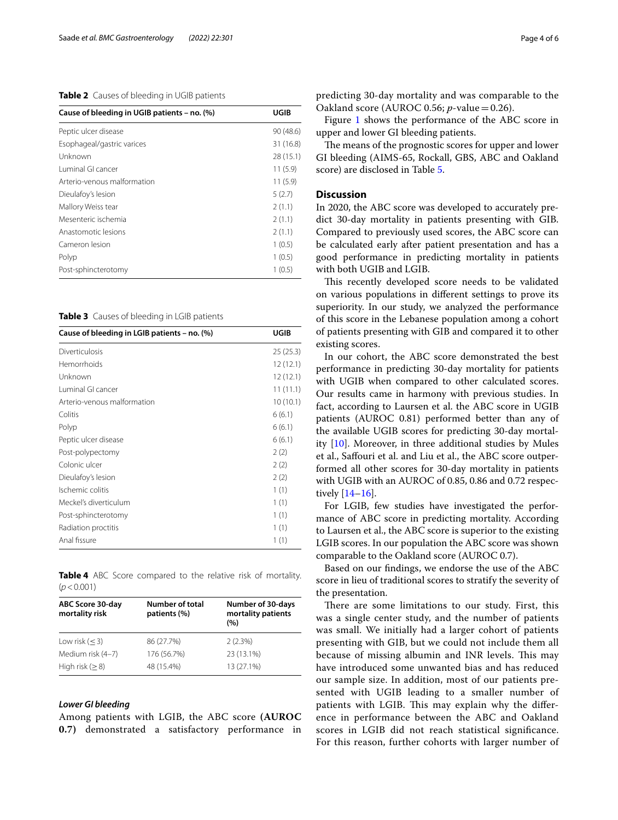#### <span id="page-3-0"></span>**Table 2** Causes of bleeding in UGIB patients

| Cause of bleeding in UGIB patients - no. (%) | UGIB      |
|----------------------------------------------|-----------|
| Peptic ulcer disease                         | 90 (48.6) |
| Esophageal/gastric varices                   | 31 (16.8) |
| Unknown                                      | 28 (15.1) |
| Luminal GL cancer                            | 11(5.9)   |
| Arterio-venous malformation                  | 11(5.9)   |
| Dieulafoy's lesion                           | 5(2.7)    |
| Mallory Weiss tear                           | 2(1.1)    |
| Mesenteric ischemia                          | 2(1.1)    |
| Anastomotic lesions                          | 2(1.1)    |
| Cameron lesion                               | 1(0.5)    |
| Polyp                                        | 1(0.5)    |
| Post-sphincterotomy                          | 1(0.5)    |

<span id="page-3-1"></span>**Table 3** Causes of bleeding in LGIB patients

| Cause of bleeding in LGIB patients – no. (%) | UGIB     |
|----------------------------------------------|----------|
| Diverticulosis                               | 25(25.3) |
| Hemorrhoids                                  | 12(12.1) |
| Unknown                                      | 12(12.1) |
| Luminal GI cancer                            | 11(11.1) |
| Arterio-venous malformation                  | 10(10.1) |
| Colitis                                      | 6(6.1)   |
| Polyp                                        | 6(6.1)   |
| Peptic ulcer disease                         | 6(6.1)   |
| Post-polypectomy                             | 2(2)     |
| Colonic ulcer                                | 2(2)     |
| Dieulafoy's lesion                           | 2(2)     |
| Ischemic colitis                             | 1(1)     |
| Meckel's diverticulum                        | 1(1)     |
| Post-sphincterotomy                          | 1(1)     |
| Radiation proctitis                          | 1(1)     |
| Anal fissure                                 | 1(1)     |

<span id="page-3-2"></span>**Table 4** ABC Score compared to the relative risk of mortality.  $(p < 0.001)$ 

| ABC Score 30-day<br>mortality risk | Number of total<br>patients (%) | Number of 30-days<br>mortality patients<br>(9/6) |
|------------------------------------|---------------------------------|--------------------------------------------------|
| Low risk $(< 3)$                   | 86 (27.7%)                      | 2(2.3%)                                          |
| Medium risk (4-7)                  | 176 (56.7%)                     | 23 (13.1%)                                       |
| High risk $(>8)$                   | 48 (15.4%)                      | 13 (27.1%)                                       |

#### *Lower GI bleeding*

Among patients with LGIB, the ABC score **(AUROC 0.7)** demonstrated a satisfactory performance in predicting 30-day mortality and was comparable to the Oakland score (AUROC 0.56; *p*-value=0.26).

Figure [1](#page-4-4) shows the performance of the ABC score in upper and lower GI bleeding patients.

The means of the prognostic scores for upper and lower GI bleeding (AIMS-65, Rockall, GBS, ABC and Oakland score) are disclosed in Table [5](#page-4-5).

#### **Discussion**

In 2020, the ABC score was developed to accurately predict 30-day mortality in patients presenting with GIB. Compared to previously used scores, the ABC score can be calculated early after patient presentation and has a good performance in predicting mortality in patients with both UGIB and LGIB.

This recently developed score needs to be validated on various populations in diferent settings to prove its superiority. In our study, we analyzed the performance of this score in the Lebanese population among a cohort of patients presenting with GIB and compared it to other existing scores.

In our cohort, the ABC score demonstrated the best performance in predicting 30-day mortality for patients with UGIB when compared to other calculated scores. Our results came in harmony with previous studies. In fact, according to Laursen et al. the ABC score in UGIB patients (AUROC 0.81) performed better than any of the available UGIB scores for predicting 30-day mortality [[10\]](#page-5-5). Moreover, in three additional studies by Mules et al., Safouri et al. and Liu et al., the ABC score outperformed all other scores for 30-day mortality in patients with UGIB with an AUROC of 0.85, 0.86 and 0.72 respectively [\[14–](#page-5-9)[16\]](#page-5-10).

For LGIB, few studies have investigated the performance of ABC score in predicting mortality. According to Laursen et al., the ABC score is superior to the existing LGIB scores. In our population the ABC score was shown comparable to the Oakland score (AUROC 0.7).

Based on our fndings, we endorse the use of the ABC score in lieu of traditional scores to stratify the severity of the presentation.

There are some limitations to our study. First, this was a single center study, and the number of patients was small. We initially had a larger cohort of patients presenting with GIB, but we could not include them all because of missing albumin and INR levels. This may have introduced some unwanted bias and has reduced our sample size. In addition, most of our patients presented with UGIB leading to a smaller number of patients with LGIB. This may explain why the difference in performance between the ABC and Oakland scores in LGIB did not reach statistical signifcance. For this reason, further cohorts with larger number of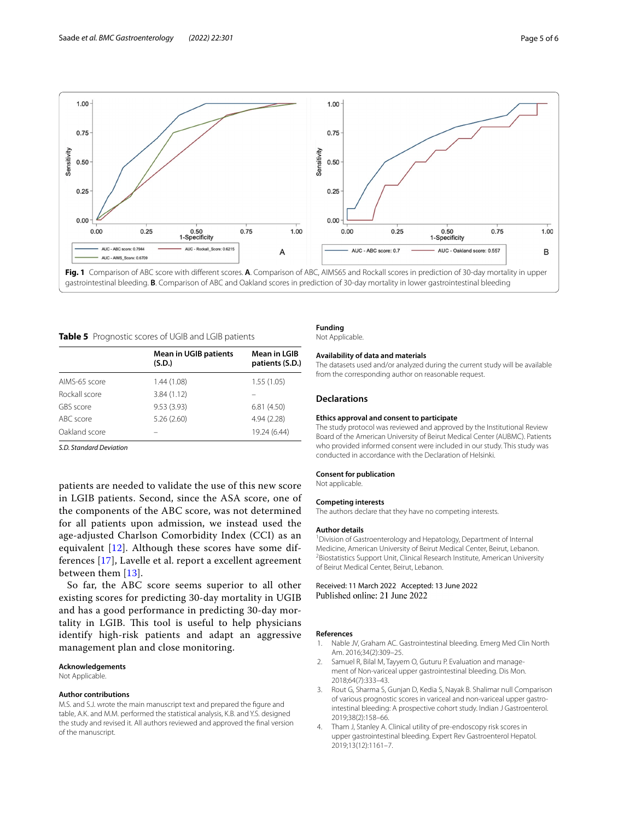

<span id="page-4-5"></span><span id="page-4-4"></span>

|  | Table 5 Prognostic scores of UGIB and LGIB patients |  |  |
|--|-----------------------------------------------------|--|--|
|--|-----------------------------------------------------|--|--|

|               | <b>Mean in UGIB patients</b><br>(S.D.) | <b>Mean in LGIB</b><br>patients (S.D.) |
|---------------|----------------------------------------|----------------------------------------|
| AIMS-65 score | 1.44 (1.08)                            | 1.55(1.05)                             |
| Rockall score | 3.84(1.12)                             |                                        |
| GBS score     | 9.53(3.93)                             | 6.81(4.50)                             |
| ABC score     | 5.26(2.60)                             | 4.94 (2.28)                            |
| Oakland score |                                        | 19.24 (6.44)                           |

*S.D. Standard Deviation*

patients are needed to validate the use of this new score in LGIB patients. Second, since the ASA score, one of the components of the ABC score, was not determined for all patients upon admission, we instead used the age-adjusted Charlson Comorbidity Index (CCI) as an equivalent [[12\]](#page-5-7). Although these scores have some differences [\[17](#page-5-11)], Lavelle et al. report a excellent agreement between them [\[13](#page-5-8)].

So far, the ABC score seems superior to all other existing scores for predicting 30-day mortality in UGIB and has a good performance in predicting 30-day mortality in LGIB. This tool is useful to help physicians identify high-risk patients and adapt an aggressive management plan and close monitoring.

#### **Acknowledgements**

Not Applicable.

#### **Author contributions**

M.S. and S.J. wrote the main manuscript text and prepared the fgure and table, A.K. and M.M. performed the statistical analysis, K.B. and Y.S. designed the study and revised it. All authors reviewed and approved the fnal version of the manuscript.

#### **Funding**

Not Applicable.

#### **Availability of data and materials**

The datasets used and/or analyzed during the current study will be available from the corresponding author on reasonable request.

#### **Declarations**

#### **Ethics approval and consent to participate**

The study protocol was reviewed and approved by the Institutional Review Board of the American University of Beirut Medical Center (AUBMC). Patients who provided informed consent were included in our study. This study was conducted in accordance with the Declaration of Helsinki.

#### **Consent for publication**

Not applicable.

#### **Competing interests**

The authors declare that they have no competing interests.

#### **Author details**

<sup>1</sup> Division of Gastroenterology and Hepatology, Department of Internal Medicine, American University of Beirut Medical Center, Beirut, Lebanon. 2 <sup>2</sup> Biostatistics Support Unit, Clinical Research Institute, American University of Beirut Medical Center, Beirut, Lebanon.

Received: 11 March 2022 Accepted: 13 June 2022 Published online: 21 June 2022

#### **References**

- <span id="page-4-0"></span>1. Nable JV, Graham AC. Gastrointestinal bleeding. Emerg Med Clin North Am. 2016;34(2):309–25.
- <span id="page-4-1"></span>2. Samuel R, Bilal M, Tayyem O, Guturu P. Evaluation and management of Non-variceal upper gastrointestinal bleeding. Dis Mon. 2018;64(7):333–43.
- <span id="page-4-2"></span>3. Rout G, Sharma S, Gunjan D, Kedia S, Nayak B. Shalimar null Comparison of various prognostic scores in variceal and non-variceal upper gastrointestinal bleeding: A prospective cohort study. Indian J Gastroenterol. 2019;38(2):158–66.
- <span id="page-4-3"></span>Tham J, Stanley A. Clinical utility of pre-endoscopy risk scores in upper gastrointestinal bleeding. Expert Rev Gastroenterol Hepatol. 2019;13(12):1161–7.